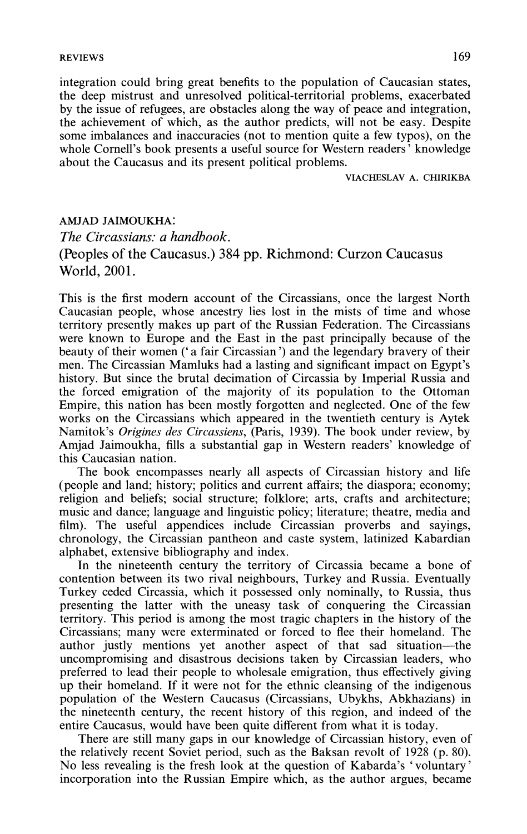**integration could bring great benefits to the population of Caucasian states, the deep mistrust and unresolved political-territorial problems, exacerbated by the issue of refugees, are obstacles along the way of peace and integration, the achievement of which, as the author predicts, will not be easy. Despite some imbalances and inaccuracies (not to mention quite a few typos), on the whole Cornell's book presents a useful source for Western readers' knowledge about the Caucasus and its present political problems.** 

**VIACHESLAV A. CHIRIKBA** 

## **AMJAD JAIMOUKHA:**

**The Circassians: a handbook. (Peoples of the Caucasus.) 384 pp. Richmond: Curzon Caucasus World, 2001.** 

**This is the first modern account of the Circassians, once the largest North Caucasian people, whose ancestry lies lost in the mists of time and whose territory presently makes up part of the Russian Federation. The Circassians were known to Europe and the East in the past principally because of the beauty of their women (' a fair Circassian') and the legendary bravery of their men. The Circassian Mamluks had a lasting and significant impact on Egypt's history. But since the brutal decimation of Circassia by Imperial Russia and the forced emigration of the majority of its population to the Ottoman Empire, this nation has been mostly forgotten and neglected. One of the few works on the Circassians which appeared in the twentieth century is Aytek Namitok's Origines des Circassiens, (Paris, 1939). The book under review, by Amjad Jaimoukha, fills a substantial gap in Western readers' knowledge of this Caucasian nation.** 

**The book encompasses nearly all aspects of Circassian history and life (people and land; history; politics and current affairs; the diaspora; economy; religion and beliefs; social structure; folklore; arts, crafts and architecture; music and dance; language and linguistic policy; literature; theatre, media and film). The useful appendices include Circassian proverbs and sayings, chronology, the Circassian pantheon and caste system, latinized Kabardian alphabet, extensive bibliography and index.** 

**In the nineteenth century the territory of Circassia became a bone of contention between its two rival neighbours, Turkey and Russia. Eventually Turkey ceded Circassia, which it possessed only nominally, to Russia, thus presenting the latter with the uneasy task of conquering the Circassian territory. This period is among the most tragic chapters in the history of the Circassians; many were exterminated or forced to flee their homeland. The author justly mentions yet another aspect of that sad situation-the uncompromising and disastrous decisions taken by Circassian leaders, who preferred to lead their people to wholesale emigration, thus effectively giving up their homeland. If it were not for the ethnic cleansing of the indigenous population of the Western Caucasus (Circassians, Ubykhs, Abkhazians) in the nineteenth century, the recent history of this region, and indeed of the entire Caucasus, would have been quite different from what it is today.** 

**There are still many gaps in our knowledge of Circassian history, even of the relatively recent Soviet period, such as the Baksan revolt of 1928 (p. 80). No less revealing is the fresh look at the question of Kabarda's 'voluntary' incorporation into the Russian Empire which, as the author argues, became**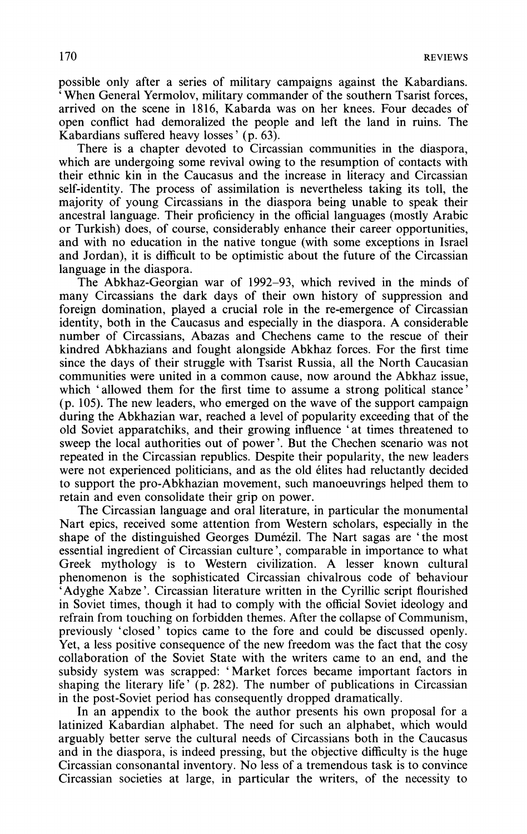**possible only after a series of military campaigns against the Kabardians. 'When General Yermolov, military commander of the southern Tsarist forces, arrived on the scene in 1816, Kabarda was on her knees. Four decades of open conflict had demoralized the people and left the land in ruins. The Kabardians suffered heavy losses' (p. 63).** 

**There is a chapter devoted to Circassian communities in the diaspora, which are undergoing some revival owing to the resumption of contacts with their ethnic kin in the Caucasus and the increase in literacy and Circassian self-identity. The process of assimilation is nevertheless taking its toll, the majority of young Circassians in the diaspora being unable to speak their ancestral language. Their proficiency in the official languages (mostly Arabic or Turkish) does, of course, considerably enhance their career opportunities, and with no education in the native tongue (with some exceptions in Israel and Jordan), it is difficult to be optimistic about the future of the Circassian language in the diaspora.** 

**The Abkhaz-Georgian war of 1992-93, which revived in the minds of many Circassians the dark days of their own history of suppression and foreign domination, played a crucial role in the re-emergence of Circassian identity, both in the Caucasus and especially in the diaspora. A considerable number of Circassians, Abazas and Chechens came to the rescue of their kindred Abkhazians and fought alongside Abkhaz forces. For the first time since the days of their struggle with Tsarist Russia, all the North Caucasian communities were united in a common cause, now around the Abkhaz issue, which 'allowed them for the first time to assume a strong political stance' (p. 105). The new leaders, who emerged on the wave of the support campaign during the Abkhazian war, reached a level of popularity exceeding that of the old Soviet apparatchiks, and their growing influence 'at times threatened to sweep the local authorities out of power'. But the Chechen scenario was not repeated in the Circassian republics. Despite their popularity, the new leaders**  were not experienced politicians, and as the old élites had reluctantly decided **to support the pro-Abkhazian movement, such manoeuvrings helped them to retain and even consolidate their grip on power.** 

**The Circassian language and oral literature, in particular the monumental Nart epics, received some attention from Western scholars, especially in the shape of the distinguished Georges Dumezil. The Nart sagas are 'the most essential ingredient of Circassian culture', comparable in importance to what Greek mythology is to Western civilization. A lesser known cultural phenomenon is the sophisticated Circassian chivalrous code of behaviour 'Adyghe Xabze'. Circassian literature written in the Cyrillic script flourished in Soviet times, though it had to comply with the official Soviet ideology and refrain from touching on forbidden themes. After the collapse of Communism, previously 'closed' topics came to the fore and could be discussed openly. Yet, a less positive consequence of the new freedom was the fact that the cosy collaboration of the Soviet State with the writers came to an end, and the subsidy system was scrapped: 'Market forces became important factors in shaping the literary life' (p. 282). The number of publications in Circassian in the post-Soviet period has consequently dropped dramatically.** 

**In an appendix to the book the author presents his own proposal for a latinized Kabardian alphabet. The need for such an alphabet, which would arguably better serve the cultural needs of Circassians both in the Caucasus and in the diaspora, is indeed pressing, but the objective difficulty is the huge Circassian consonantal inventory. No less of a tremendous task is to convince Circassian societies at large, in particular the writers, of the necessity to**